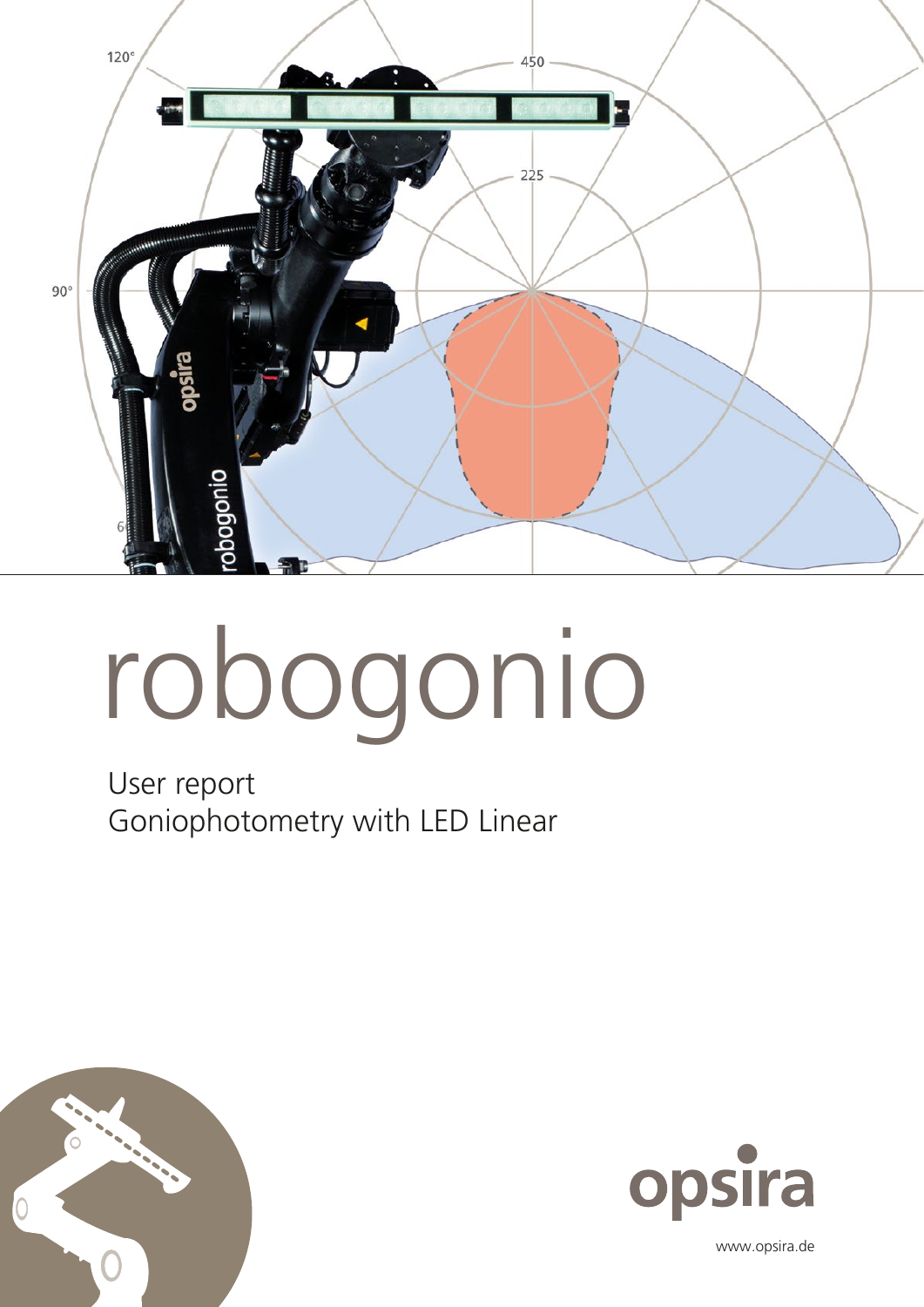

# robogonio

User report Goniophotometry with LED Linear





www.opsira.de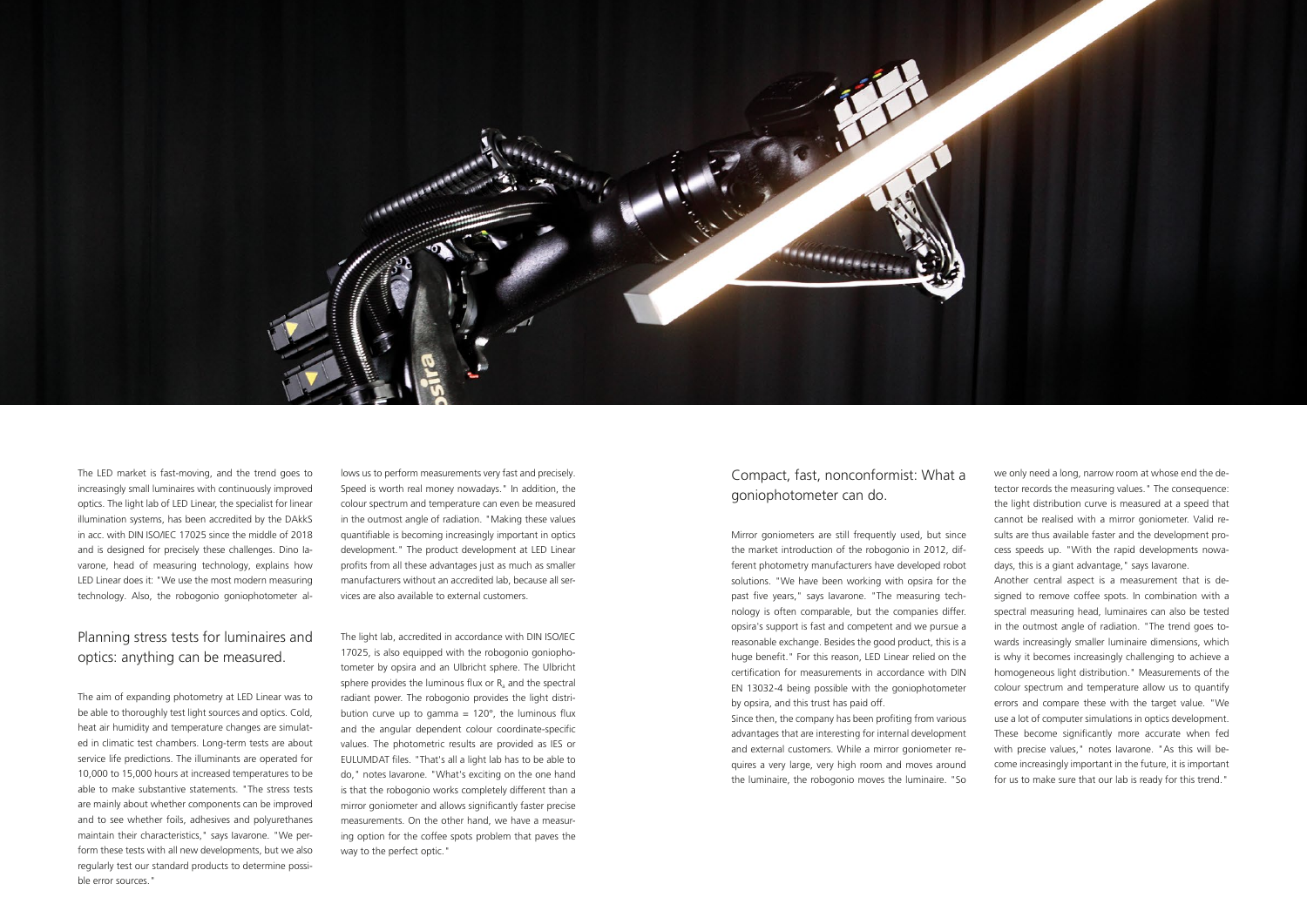

The LED market is fast-moving, and the trend goes to increasingly small luminaires with continuously improved optics. The light lab of LED Linear, the specialist for linear illumination systems, has been accredited by the DAkkS in acc. with DIN ISO/IEC 17025 since the middle of 2018 and is designed for precisely these challenges. Dino Iavarone, head of measuring technology, explains how LED Linear does it: "We use the most modern measuring technology. Also, the robogonio goniophotometer allows us to perform measurements very fast and precisely. Speed is worth real money nowadays." In addition, the colour spectrum and temperature can even be measured in the outmost angle of radiation. "Making these values quantifiable is becoming increasingly important in optics development." The product development at LED Linear profits from all these advantages just as much as smaller manufacturers without an accredited lab, because all services are also available to external customers.

## Planning stress tests for luminaires and optics: anything can be measured.

The aim of expanding photometry at LED Linear was to be able to thoroughly test light sources and optics. Cold, heat air humidity and temperature changes are simulated in climatic test chambers. Long-term tests are about service life predictions. The illuminants are operated for 10,000 to 15,000 hours at increased temperatures to be able to make substantive statements. "The stress tests are mainly about whether components can be improved and to see whether foils, adhesives and polyurethanes maintain their characteristics," says Iavarone. "We perform these tests with all new developments, but we also regularly test our standard products to determine possible error sources."

The light lab, accredited in accordance with DIN ISO/IEC 17025, is also equipped with the robogonio goniophotometer by opsira and an Ulbricht sphere. The Ulbricht sphere provides the luminous flux or  $R_a$  and the spectral radiant power. The robogonio provides the light distribution curve up to gamma =  $120^\circ$ , the luminous flux and the angular dependent colour coordinate-specific values. The photometric results are provided as IES or EULUMDAT files. "That's all a light lab has to be able to do," notes Iavarone. "What's exciting on the one hand is that the robogonio works completely different than a mirror goniometer and allows significantly faster precise measurements. On the other hand, we have a measuring option for the coffee spots problem that paves the way to the perfect optic."

## Compact, fast, nonconformist: What a goniophotometer can do.

Mirror goniometers are still frequently used, but since the market introduction of the robogonio in 2012, different photometry manufacturers have developed robot solutions. "We have been working with opsira for the past five years," says Iavarone. "The measuring technology is often comparable, but the companies differ. opsira's support is fast and competent and we pursue a reasonable exchange. Besides the good product, this is a huge benefit." For this reason, LED Linear relied on the certification for measurements in accordance with DIN EN 13032-4 being possible with the goniophotometer by opsira, and this trust has paid off.

Since then, the company has been profiting from various advantages that are interesting for internal development and external customers. While a mirror goniometer requires a very large, very high room and moves around the luminaire, the robogonio moves the luminaire. "So we only need a long, narrow room at whose end the detector records the measuring values." The consequence: the light distribution curve is measured at a speed that cannot be realised with a mirror goniometer. Valid results are thus available faster and the development process speeds up. "With the rapid developments nowadays, this is a giant advantage," says Iavarone.

Another central aspect is a measurement that is designed to remove coffee spots. In combination with a spectral measuring head, luminaires can also be tested in the outmost angle of radiation. "The trend goes towards increasingly smaller luminaire dimensions, which is why it becomes increasingly challenging to achieve a homogeneous light distribution." Measurements of the colour spectrum and temperature allow us to quantify errors and compare these with the target value. "We use a lot of computer simulations in optics development. These become significantly more accurate when fed with precise values," notes Iavarone. "As this will become increasingly important in the future, it is important for us to make sure that our lab is ready for this trend."